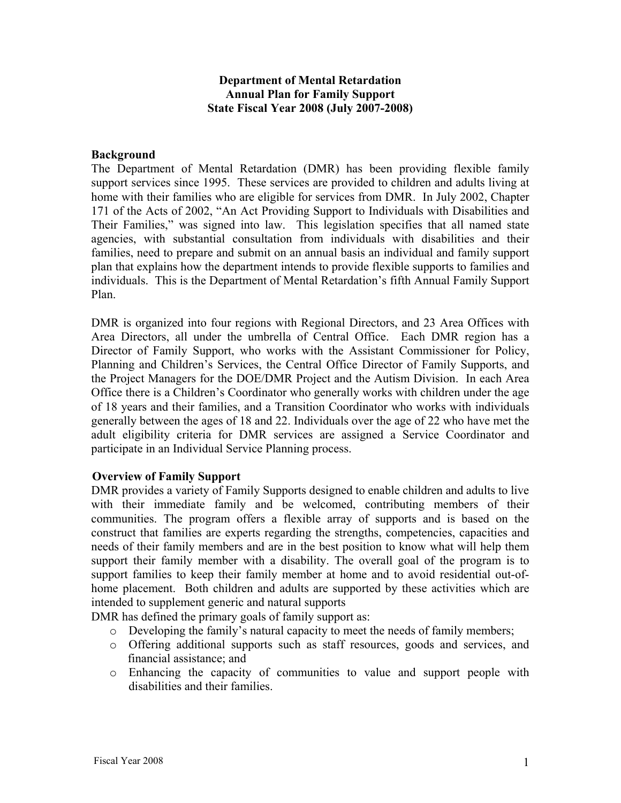## **Department of Mental Retardation Annual Plan for Family Support State Fiscal Year 2008 (July 2007-2008)**

#### **Background**

The Department of Mental Retardation (DMR) has been providing flexible family support services since 1995. These services are provided to children and adults living at home with their families who are eligible for services from DMR. In July 2002, Chapter 171 of the Acts of 2002, "An Act Providing Support to Individuals with Disabilities and Their Families," was signed into law. This legislation specifies that all named state agencies, with substantial consultation from individuals with disabilities and their families, need to prepare and submit on an annual basis an individual and family support plan that explains how the department intends to provide flexible supports to families and individuals. This is the Department of Mental Retardation's fifth Annual Family Support Plan.

DMR is organized into four regions with Regional Directors, and 23 Area Offices with Area Directors, all under the umbrella of Central Office. Each DMR region has a Director of Family Support, who works with the Assistant Commissioner for Policy, Planning and Children's Services, the Central Office Director of Family Supports, and the Project Managers for the DOE/DMR Project and the Autism Division. In each Area Office there is a Children's Coordinator who generally works with children under the age of 18 years and their families, and a Transition Coordinator who works with individuals generally between the ages of 18 and 22. Individuals over the age of 22 who have met the adult eligibility criteria for DMR services are assigned a Service Coordinator and participate in an Individual Service Planning process.

#### **Overview of Family Support**

DMR provides a variety of Family Supports designed to enable children and adults to live with their immediate family and be welcomed, contributing members of their communities. The program offers a flexible array of supports and is based on the construct that families are experts regarding the strengths, competencies, capacities and needs of their family members and are in the best position to know what will help them support their family member with a disability. The overall goal of the program is to support families to keep their family member at home and to avoid residential out-ofhome placement. Both children and adults are supported by these activities which are intended to supplement generic and natural supports

DMR has defined the primary goals of family support as:

- o Developing the family's natural capacity to meet the needs of family members;
- o Offering additional supports such as staff resources, goods and services, and financial assistance; and
- o Enhancing the capacity of communities to value and support people with disabilities and their families.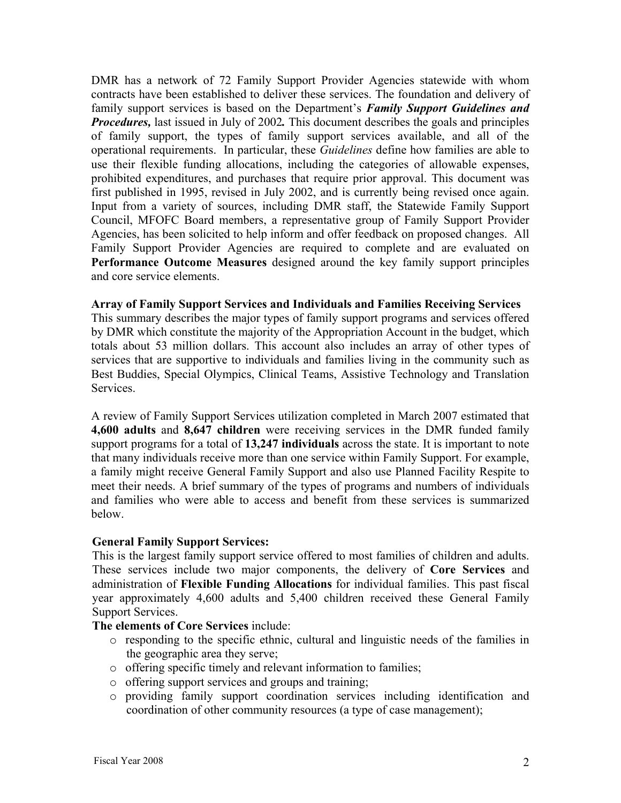DMR has a network of 72 Family Support Provider Agencies statewide with whom contracts have been established to deliver these services. The foundation and delivery of family support services is based on the Department's *Family Support Guidelines and Procedures,* last issued in July of 2002. This document describes the goals and principles of family support, the types of family support services available, and all of the operational requirements. In particular, these *Guidelines* define how families are able to use their flexible funding allocations, including the categories of allowable expenses, prohibited expenditures, and purchases that require prior approval. This document was first published in 1995, revised in July 2002, and is currently being revised once again. Input from a variety of sources, including DMR staff, the Statewide Family Support Council, MFOFC Board members, a representative group of Family Support Provider Agencies, has been solicited to help inform and offer feedback on proposed changes. All Family Support Provider Agencies are required to complete and are evaluated on **Performance Outcome Measures** designed around the key family support principles and core service elements.

#### **Array of Family Support Services and Individuals and Families Receiving Services**

This summary describes the major types of family support programs and services offered by DMR which constitute the majority of the Appropriation Account in the budget, which totals about 53 million dollars. This account also includes an array of other types of services that are supportive to individuals and families living in the community such as Best Buddies, Special Olympics, Clinical Teams, Assistive Technology and Translation Services.

A review of Family Support Services utilization completed in March 2007 estimated that **4,600 adults** and **8,647 children** were receiving services in the DMR funded family support programs for a total of **13,247 individuals** across the state. It is important to note that many individuals receive more than one service within Family Support. For example, a family might receive General Family Support and also use Planned Facility Respite to meet their needs. A brief summary of the types of programs and numbers of individuals and families who were able to access and benefit from these services is summarized below.

#### **General Family Support Services:**

This is the largest family support service offered to most families of children and adults. These services include two major components, the delivery of **Core Services** and administration of **Flexible Funding Allocations** for individual families. This past fiscal year approximately 4,600 adults and 5,400 children received these General Family Support Services.

#### **The elements of Core Services** include:

- o responding to the specific ethnic, cultural and linguistic needs of the families in the geographic area they serve;
- o offering specific timely and relevant information to families;
- o offering support services and groups and training;
- o providing family support coordination services including identification and coordination of other community resources (a type of case management);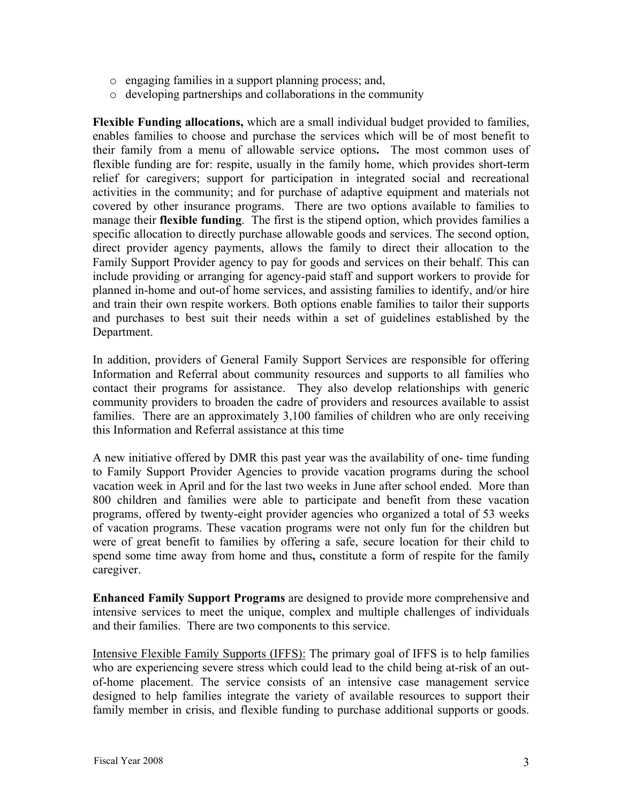- o engaging families in a support planning process; and,
- o developing partnerships and collaborations in the community

**Flexible Funding allocations,** which are a small individual budget provided to families, enables families to choose and purchase the services which will be of most benefit to their family from a menu of allowable service options**.** The most common uses of flexible funding are for: respite, usually in the family home, which provides short-term relief for caregivers; support for participation in integrated social and recreational activities in the community; and for purchase of adaptive equipment and materials not covered by other insurance programs. There are two options available to families to manage their **flexible funding**. The first is the stipend option, which provides families a specific allocation to directly purchase allowable goods and services. The second option, direct provider agency payments, allows the family to direct their allocation to the Family Support Provider agency to pay for goods and services on their behalf. This can include providing or arranging for agency-paid staff and support workers to provide for planned in-home and out-of home services, and assisting families to identify, and/or hire and train their own respite workers. Both options enable families to tailor their supports and purchases to best suit their needs within a set of guidelines established by the Department.

In addition, providers of General Family Support Services are responsible for offering Information and Referral about community resources and supports to all families who contact their programs for assistance. They also develop relationships with generic community providers to broaden the cadre of providers and resources available to assist families. There are an approximately 3,100 families of children who are only receiving this Information and Referral assistance at this time

A new initiative offered by DMR this past year was the availability of one- time funding to Family Support Provider Agencies to provide vacation programs during the school vacation week in April and for the last two weeks in June after school ended. More than 800 children and families were able to participate and benefit from these vacation programs, offered by twenty-eight provider agencies who organized a total of 53 weeks of vacation programs. These vacation programs were not only fun for the children but were of great benefit to families by offering a safe, secure location for their child to spend some time away from home and thus**,** constitute a form of respite for the family caregiver.

**Enhanced Family Support Programs** are designed to provide more comprehensive and intensive services to meet the unique, complex and multiple challenges of individuals and their families. There are two components to this service.

Intensive Flexible Family Supports (IFFS): The primary goal of IFFS is to help families who are experiencing severe stress which could lead to the child being at-risk of an outof-home placement. The service consists of an intensive case management service designed to help families integrate the variety of available resources to support their family member in crisis, and flexible funding to purchase additional supports or goods.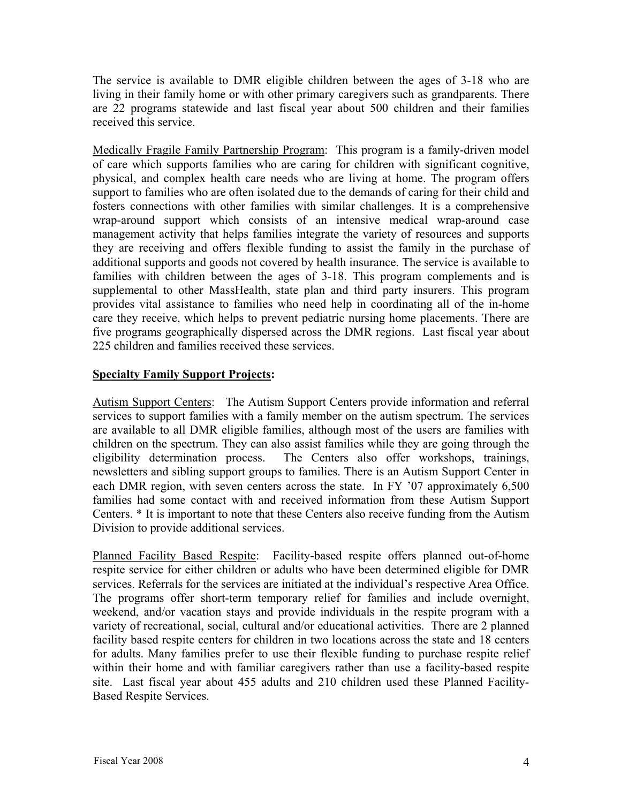The service is available to DMR eligible children between the ages of 3-18 who are living in their family home or with other primary caregivers such as grandparents. There are 22 programs statewide and last fiscal year about 500 children and their families received this service.

Medically Fragile Family Partnership Program: This program is a family-driven model of care which supports families who are caring for children with significant cognitive, physical, and complex health care needs who are living at home. The program offers support to families who are often isolated due to the demands of caring for their child and fosters connections with other families with similar challenges. It is a comprehensive wrap-around support which consists of an intensive medical wrap-around case management activity that helps families integrate the variety of resources and supports they are receiving and offers flexible funding to assist the family in the purchase of additional supports and goods not covered by health insurance. The service is available to families with children between the ages of 3-18. This program complements and is supplemental to other MassHealth, state plan and third party insurers. This program provides vital assistance to families who need help in coordinating all of the in-home care they receive, which helps to prevent pediatric nursing home placements. There are five programs geographically dispersed across the DMR regions. Last fiscal year about 225 children and families received these services.

# **Specialty Family Support Projects:**

Autism Support Centers: The Autism Support Centers provide information and referral services to support families with a family member on the autism spectrum. The services are available to all DMR eligible families, although most of the users are families with children on the spectrum. They can also assist families while they are going through the eligibility determination process. The Centers also offer workshops, trainings, newsletters and sibling support groups to families. There is an Autism Support Center in each DMR region, with seven centers across the state. In FY '07 approximately 6,500 families had some contact with and received information from these Autism Support Centers. \* It is important to note that these Centers also receive funding from the Autism Division to provide additional services.

Planned Facility Based Respite: Facility-based respite offers planned out-of-home respite service for either children or adults who have been determined eligible for DMR services. Referrals for the services are initiated at the individual's respective Area Office. The programs offer short-term temporary relief for families and include overnight, weekend, and/or vacation stays and provide individuals in the respite program with a variety of recreational, social, cultural and/or educational activities. There are 2 planned facility based respite centers for children in two locations across the state and 18 centers for adults. Many families prefer to use their flexible funding to purchase respite relief within their home and with familiar caregivers rather than use a facility-based respite site. Last fiscal year about 455 adults and 210 children used these Planned Facility-Based Respite Services.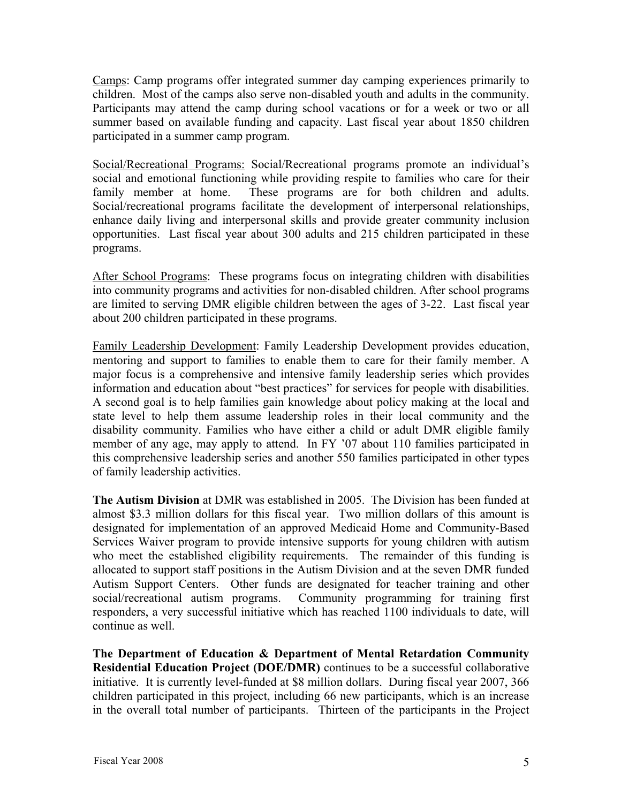Camps: Camp programs offer integrated summer day camping experiences primarily to children. Most of the camps also serve non-disabled youth and adults in the community. Participants may attend the camp during school vacations or for a week or two or all summer based on available funding and capacity. Last fiscal year about 1850 children participated in a summer camp program.

Social/Recreational Programs: Social/Recreational programs promote an individual's social and emotional functioning while providing respite to families who care for their family member at home. These programs are for both children and adults. Social/recreational programs facilitate the development of interpersonal relationships, enhance daily living and interpersonal skills and provide greater community inclusion opportunities. Last fiscal year about 300 adults and 215 children participated in these programs.

After School Programs: These programs focus on integrating children with disabilities into community programs and activities for non-disabled children. After school programs are limited to serving DMR eligible children between the ages of 3-22. Last fiscal year about 200 children participated in these programs.

Family Leadership Development: Family Leadership Development provides education, mentoring and support to families to enable them to care for their family member. A major focus is a comprehensive and intensive family leadership series which provides information and education about "best practices" for services for people with disabilities. A second goal is to help families gain knowledge about policy making at the local and state level to help them assume leadership roles in their local community and the disability community. Families who have either a child or adult DMR eligible family member of any age, may apply to attend. In FY '07 about 110 families participated in this comprehensive leadership series and another 550 families participated in other types of family leadership activities.

**The Autism Division** at DMR was established in 2005. The Division has been funded at almost \$3.3 million dollars for this fiscal year. Two million dollars of this amount is designated for implementation of an approved Medicaid Home and Community-Based Services Waiver program to provide intensive supports for young children with autism who meet the established eligibility requirements. The remainder of this funding is allocated to support staff positions in the Autism Division and at the seven DMR funded Autism Support Centers. Other funds are designated for teacher training and other social/recreational autism programs. Community programming for training first responders, a very successful initiative which has reached 1100 individuals to date, will continue as well.

**The Department of Education & Department of Mental Retardation Community Residential Education Project (DOE/DMR)** continues to be a successful collaborative initiative. It is currently level-funded at \$8 million dollars. During fiscal year 2007, 366 children participated in this project, including 66 new participants, which is an increase in the overall total number of participants. Thirteen of the participants in the Project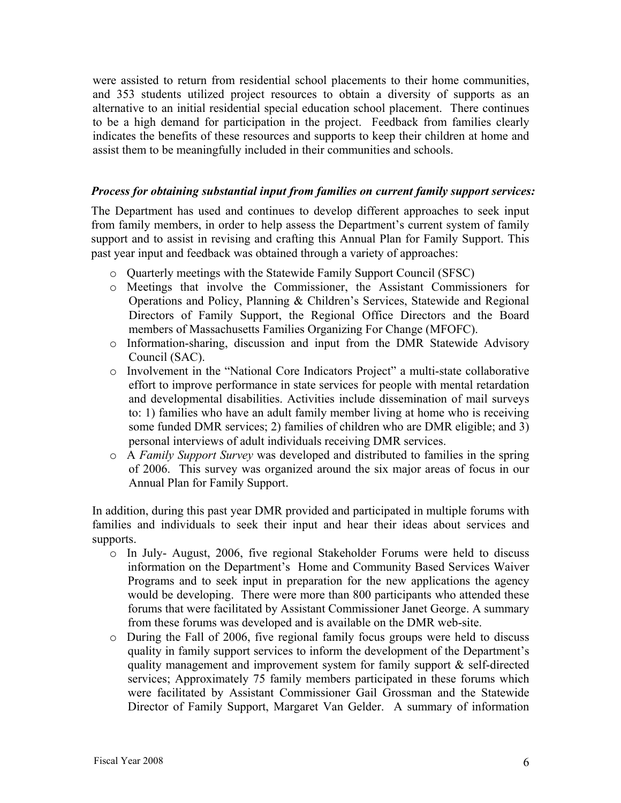were assisted to return from residential school placements to their home communities, and 353 students utilized project resources to obtain a diversity of supports as an alternative to an initial residential special education school placement. There continues to be a high demand for participation in the project. Feedback from families clearly indicates the benefits of these resources and supports to keep their children at home and assist them to be meaningfully included in their communities and schools.

#### *Process for obtaining substantial input from families on current family support services:*

The Department has used and continues to develop different approaches to seek input from family members, in order to help assess the Department's current system of family support and to assist in revising and crafting this Annual Plan for Family Support. This past year input and feedback was obtained through a variety of approaches:

- o Quarterly meetings with the Statewide Family Support Council (SFSC)
- o Meetings that involve the Commissioner, the Assistant Commissioners for Operations and Policy, Planning & Children's Services, Statewide and Regional Directors of Family Support, the Regional Office Directors and the Board members of Massachusetts Families Organizing For Change (MFOFC).
- o Information-sharing, discussion and input from the DMR Statewide Advisory Council (SAC).
- o Involvement in the "National Core Indicators Project" a multi-state collaborative effort to improve performance in state services for people with mental retardation and developmental disabilities. Activities include dissemination of mail surveys to: 1) families who have an adult family member living at home who is receiving some funded DMR services; 2) families of children who are DMR eligible; and 3) personal interviews of adult individuals receiving DMR services.
- o A *Family Support Survey* was developed and distributed to families in the spring of 2006. This survey was organized around the six major areas of focus in our Annual Plan for Family Support.

In addition, during this past year DMR provided and participated in multiple forums with families and individuals to seek their input and hear their ideas about services and supports.

- o In July- August, 2006, five regional Stakeholder Forums were held to discuss information on the Department's Home and Community Based Services Waiver Programs and to seek input in preparation for the new applications the agency would be developing. There were more than 800 participants who attended these forums that were facilitated by Assistant Commissioner Janet George. A summary from these forums was developed and is available on the DMR web-site.
- o During the Fall of 2006, five regional family focus groups were held to discuss quality in family support services to inform the development of the Department's quality management and improvement system for family support & self-directed services; Approximately 75 family members participated in these forums which were facilitated by Assistant Commissioner Gail Grossman and the Statewide Director of Family Support, Margaret Van Gelder. A summary of information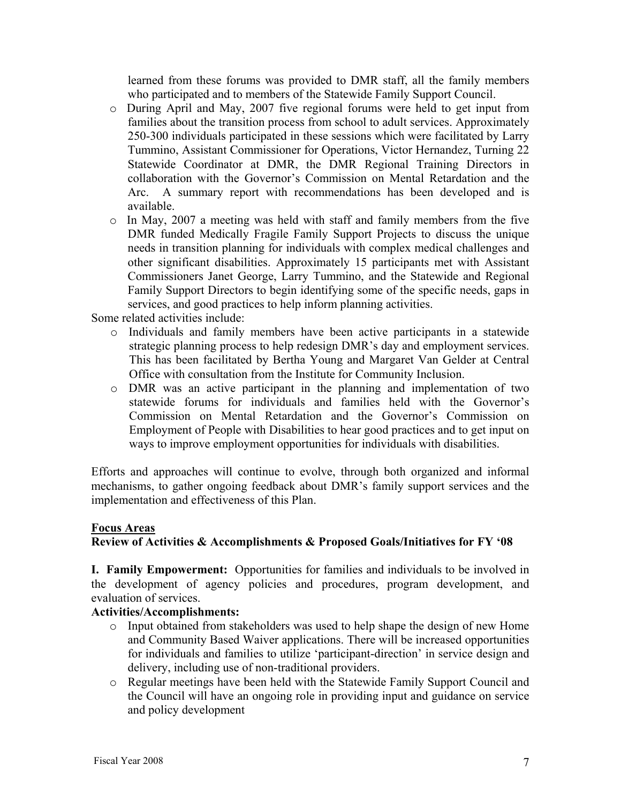learned from these forums was provided to DMR staff, all the family members who participated and to members of the Statewide Family Support Council.

- o During April and May, 2007 five regional forums were held to get input from families about the transition process from school to adult services. Approximately 250-300 individuals participated in these sessions which were facilitated by Larry Tummino, Assistant Commissioner for Operations, Victor Hernandez, Turning 22 Statewide Coordinator at DMR, the DMR Regional Training Directors in collaboration with the Governor's Commission on Mental Retardation and the Arc. A summary report with recommendations has been developed and is available.
- o In May, 2007 a meeting was held with staff and family members from the five DMR funded Medically Fragile Family Support Projects to discuss the unique needs in transition planning for individuals with complex medical challenges and other significant disabilities. Approximately 15 participants met with Assistant Commissioners Janet George, Larry Tummino, and the Statewide and Regional Family Support Directors to begin identifying some of the specific needs, gaps in services, and good practices to help inform planning activities.

Some related activities include:

- o Individuals and family members have been active participants in a statewide strategic planning process to help redesign DMR's day and employment services. This has been facilitated by Bertha Young and Margaret Van Gelder at Central Office with consultation from the Institute for Community Inclusion.
- o DMR was an active participant in the planning and implementation of two statewide forums for individuals and families held with the Governor's Commission on Mental Retardation and the Governor's Commission on Employment of People with Disabilities to hear good practices and to get input on ways to improve employment opportunities for individuals with disabilities.

Efforts and approaches will continue to evolve, through both organized and informal mechanisms, to gather ongoing feedback about DMR's family support services and the implementation and effectiveness of this Plan.

#### **Focus Areas**

# **Review of Activities & Accomplishments & Proposed Goals/Initiatives for FY '08**

**I. Family Empowerment:** Opportunities for families and individuals to be involved in the development of agency policies and procedures, program development, and evaluation of services.

# **Activities/Accomplishments:**

- o Input obtained from stakeholders was used to help shape the design of new Home and Community Based Waiver applications. There will be increased opportunities for individuals and families to utilize 'participant-direction' in service design and delivery, including use of non-traditional providers.
- o Regular meetings have been held with the Statewide Family Support Council and the Council will have an ongoing role in providing input and guidance on service and policy development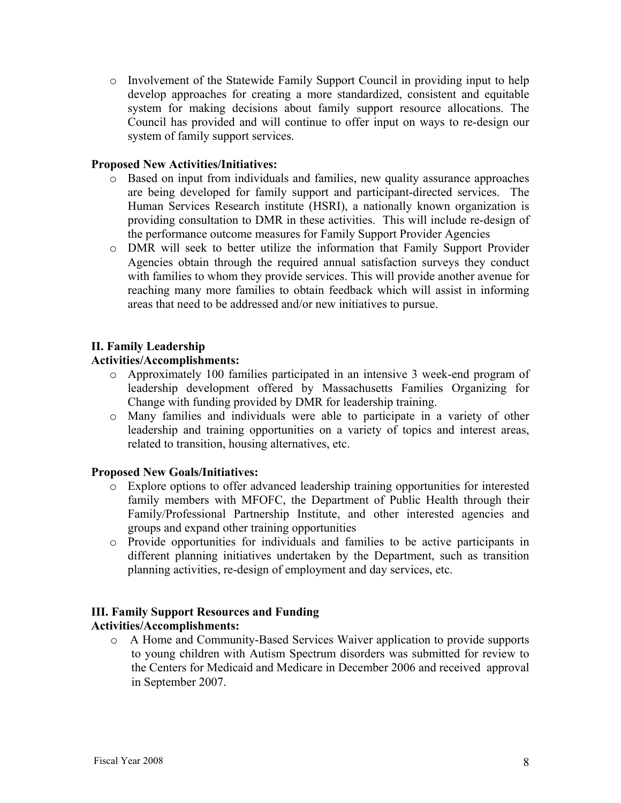o Involvement of the Statewide Family Support Council in providing input to help develop approaches for creating a more standardized, consistent and equitable system for making decisions about family support resource allocations. The Council has provided and will continue to offer input on ways to re-design our system of family support services.

## **Proposed New Activities/Initiatives:**

- o Based on input from individuals and families, new quality assurance approaches are being developed for family support and participant-directed services. The Human Services Research institute (HSRI), a nationally known organization is providing consultation to DMR in these activities. This will include re-design of the performance outcome measures for Family Support Provider Agencies
- o DMR will seek to better utilize the information that Family Support Provider Agencies obtain through the required annual satisfaction surveys they conduct with families to whom they provide services. This will provide another avenue for reaching many more families to obtain feedback which will assist in informing areas that need to be addressed and/or new initiatives to pursue.

## **II. Family Leadership**

## **Activities/Accomplishments:**

- o Approximately 100 families participated in an intensive 3 week-end program of leadership development offered by Massachusetts Families Organizing for Change with funding provided by DMR for leadership training.
- o Many families and individuals were able to participate in a variety of other leadership and training opportunities on a variety of topics and interest areas, related to transition, housing alternatives, etc.

#### **Proposed New Goals/Initiatives:**

- o Explore options to offer advanced leadership training opportunities for interested family members with MFOFC, the Department of Public Health through their Family/Professional Partnership Institute, and other interested agencies and groups and expand other training opportunities
- o Provide opportunities for individuals and families to be active participants in different planning initiatives undertaken by the Department, such as transition planning activities, re-design of employment and day services, etc.

# **III. Family Support Resources and Funding**

# **Activities/Accomplishments:**

o A Home and Community-Based Services Waiver application to provide supports to young children with Autism Spectrum disorders was submitted for review to the Centers for Medicaid and Medicare in December 2006 and received approval in September 2007.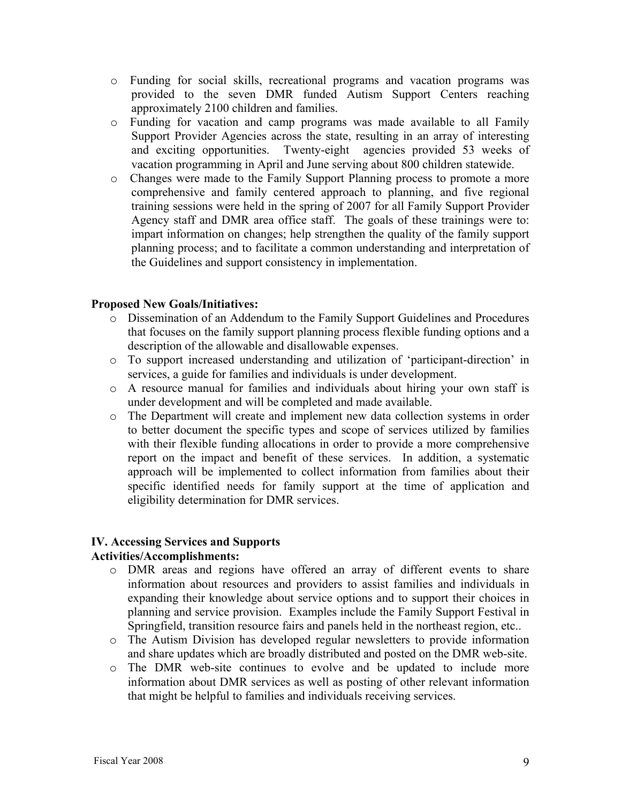- o Funding for social skills, recreational programs and vacation programs was provided to the seven DMR funded Autism Support Centers reaching approximately 2100 children and families.
- o Funding for vacation and camp programs was made available to all Family Support Provider Agencies across the state, resulting in an array of interesting and exciting opportunities. Twenty-eight agencies provided 53 weeks of vacation programming in April and June serving about 800 children statewide.
- o Changes were made to the Family Support Planning process to promote a more comprehensive and family centered approach to planning, and five regional training sessions were held in the spring of 2007 for all Family Support Provider Agency staff and DMR area office staff. The goals of these trainings were to: impart information on changes; help strengthen the quality of the family support planning process; and to facilitate a common understanding and interpretation of the Guidelines and support consistency in implementation.

## **Proposed New Goals/Initiatives:**

- o Dissemination of an Addendum to the Family Support Guidelines and Procedures that focuses on the family support planning process flexible funding options and a description of the allowable and disallowable expenses.
- o To support increased understanding and utilization of 'participant-direction' in services, a guide for families and individuals is under development.
- o A resource manual for families and individuals about hiring your own staff is under development and will be completed and made available.
- o The Department will create and implement new data collection systems in order to better document the specific types and scope of services utilized by families with their flexible funding allocations in order to provide a more comprehensive report on the impact and benefit of these services. In addition, a systematic approach will be implemented to collect information from families about their specific identified needs for family support at the time of application and eligibility determination for DMR services.

# **IV. Accessing Services and Supports**

#### **Activities/Accomplishments:**

- o DMR areas and regions have offered an array of different events to share information about resources and providers to assist families and individuals in expanding their knowledge about service options and to support their choices in planning and service provision. Examples include the Family Support Festival in Springfield, transition resource fairs and panels held in the northeast region, etc..
- o The Autism Division has developed regular newsletters to provide information and share updates which are broadly distributed and posted on the DMR web-site.
- o The DMR web-site continues to evolve and be updated to include more information about DMR services as well as posting of other relevant information that might be helpful to families and individuals receiving services.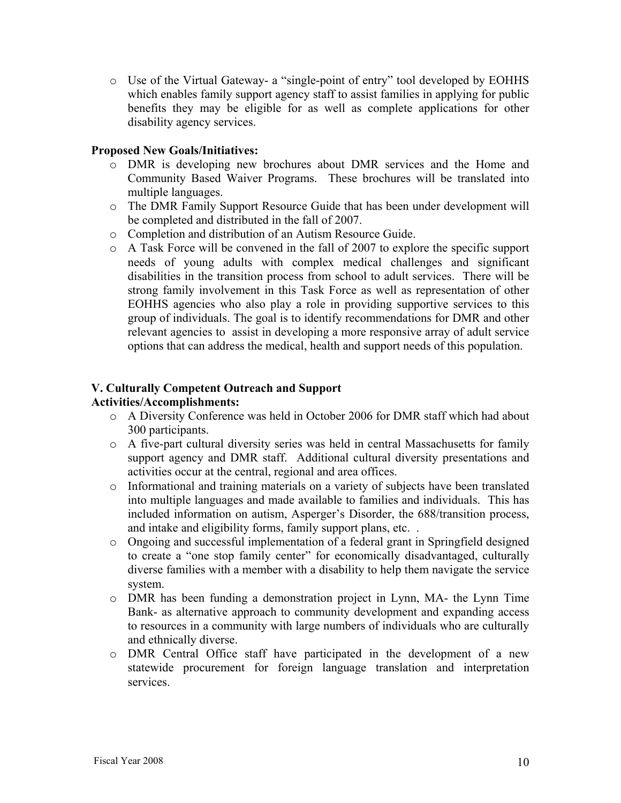o Use of the Virtual Gateway- a "single-point of entry" tool developed by EOHHS which enables family support agency staff to assist families in applying for public benefits they may be eligible for as well as complete applications for other disability agency services.

## **Proposed New Goals/Initiatives:**

- o DMR is developing new brochures about DMR services and the Home and Community Based Waiver Programs. These brochures will be translated into multiple languages.
- o The DMR Family Support Resource Guide that has been under development will be completed and distributed in the fall of 2007.
- o Completion and distribution of an Autism Resource Guide.
- o A Task Force will be convened in the fall of 2007 to explore the specific support needs of young adults with complex medical challenges and significant disabilities in the transition process from school to adult services. There will be strong family involvement in this Task Force as well as representation of other EOHHS agencies who also play a role in providing supportive services to this group of individuals. The goal is to identify recommendations for DMR and other relevant agencies to assist in developing a more responsive array of adult service options that can address the medical, health and support needs of this population.

# **V. Culturally Competent Outreach and Support**

# **Activities/Accomplishments:**

- o A Diversity Conference was held in October 2006 for DMR staff which had about 300 participants.
- o A five-part cultural diversity series was held in central Massachusetts for family support agency and DMR staff. Additional cultural diversity presentations and activities occur at the central, regional and area offices.
- o Informational and training materials on a variety of subjects have been translated into multiple languages and made available to families and individuals. This has included information on autism, Asperger's Disorder, the 688/transition process, and intake and eligibility forms, family support plans, etc. .
- o Ongoing and successful implementation of a federal grant in Springfield designed to create a "one stop family center" for economically disadvantaged, culturally diverse families with a member with a disability to help them navigate the service system.
- o DMR has been funding a demonstration project in Lynn, MA- the Lynn Time Bank- as alternative approach to community development and expanding access to resources in a community with large numbers of individuals who are culturally and ethnically diverse.
- o DMR Central Office staff have participated in the development of a new statewide procurement for foreign language translation and interpretation services.